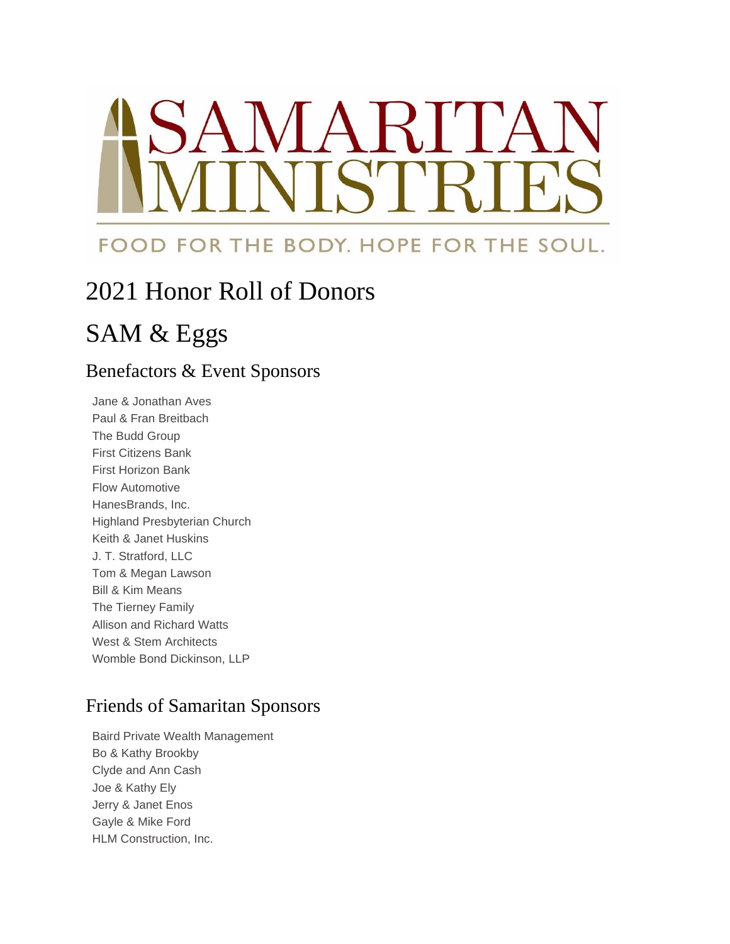# *NARI*  $\mathbf{C}^r$

### FOOD FOR THE BODY. HOPE FOR THE SOUL.

## 2021 Honor Roll of Donors

## SAM & Eggs

#### Benefactors & Event Sponsors

Jane & Jonathan Aves Paul & Fran Breitbach The Budd Group First Citizens Bank First Horizon Bank Flow Automotive HanesBrands, Inc. Highland Presbyterian Church Keith & Janet Huskins J. T. Stratford, LLC Tom & Megan Lawson Bill & Kim Means The Tierney Family Allison and Richard Watts West & Stem Architects Womble Bond Dickinson, LLP

#### Friends of Samaritan Sponsors

Baird Private Wealth Management Bo & Kathy Brookby Clyde and Ann Cash Joe & Kathy Ely Jerry & Janet Enos Gayle & Mike Ford HLM Construction, Inc.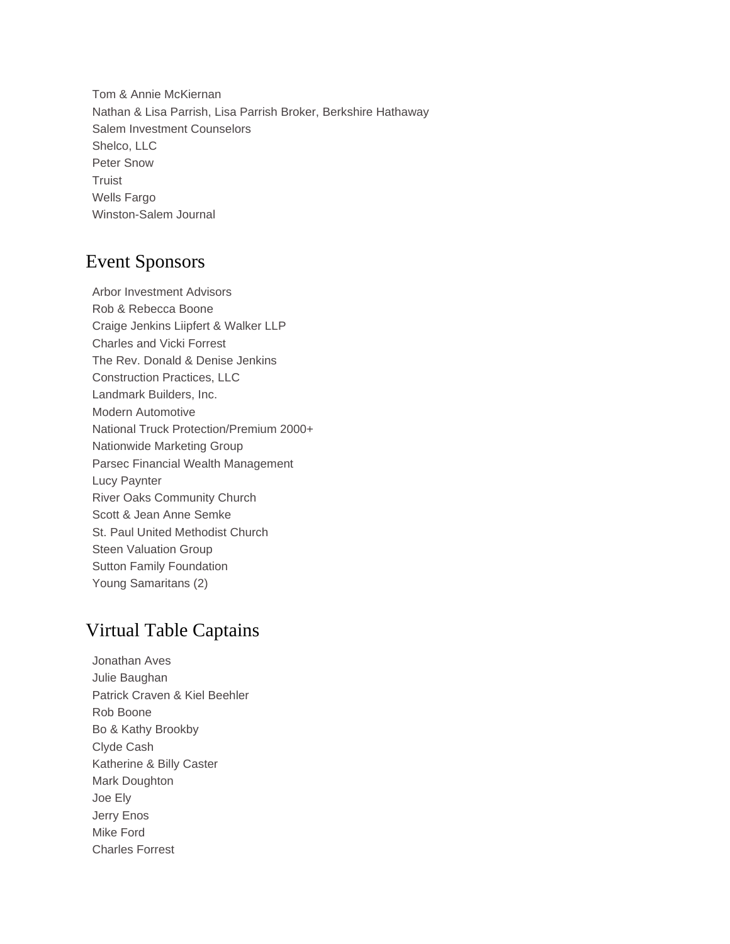Tom & Annie McKiernan Nathan & Lisa Parrish, Lisa Parrish Broker, Berkshire Hathaway Salem Investment Counselors Shelco, LLC Peter Snow Truist Wells Fargo Winston-Salem Journal

#### Event Sponsors

Arbor Investment Advisors Rob & Rebecca Boone Craige Jenkins Liipfert & Walker LLP Charles and Vicki Forrest The Rev. Donald & Denise Jenkins Construction Practices, LLC Landmark Builders, Inc. Modern Automotive National Truck Protection/Premium 2000+ Nationwide Marketing Group Parsec Financial Wealth Management Lucy Paynter River Oaks Community Church Scott & Jean Anne Semke St. Paul United Methodist Church Steen Valuation Group Sutton Family Foundation Young Samaritans (2)

#### Virtual Table Captains

Jonathan Aves Julie Baughan Patrick Craven & Kiel Beehler Rob Boone Bo & Kathy Brookby Clyde Cash Katherine & Billy Caster Mark Doughton Joe Ely Jerry Enos Mike Ford Charles Forrest